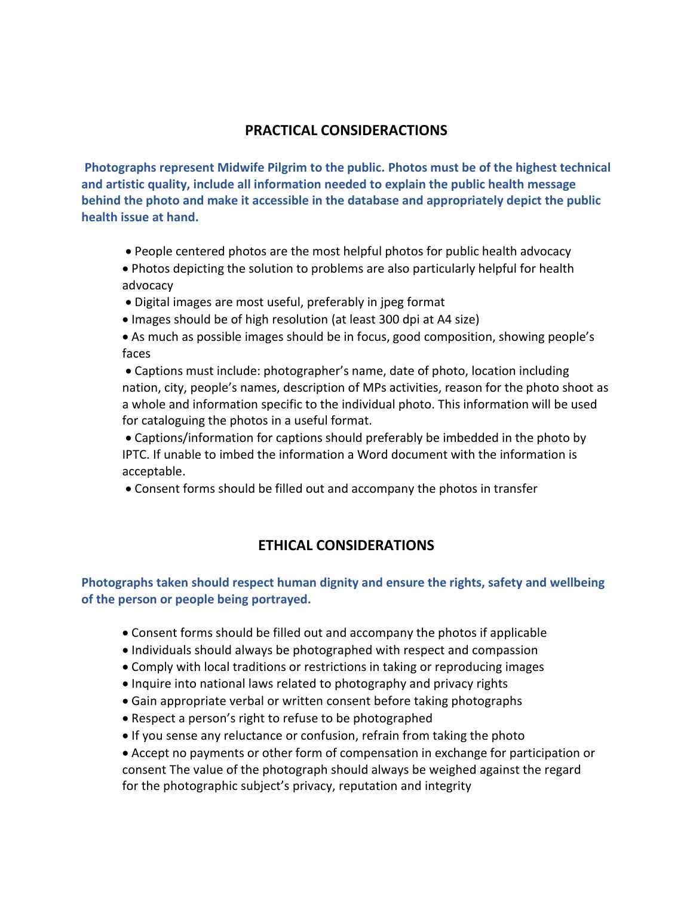# **PRACTICAL CONSIDERACTIONS**

**Photographs represent Midwife Pilgrim to the public. Photos must be of the highest technical and artistic quality, include all information needed to explain the public health message behind the photo and make it accessible in the database and appropriately depict the public health issue at hand.**

• People centered photos are the most helpful photos for public health advocacy

• Photos depicting the solution to problems are also particularly helpful for health advocacy

- Digital images are most useful, preferably in jpeg format
- Images should be of high resolution (at least 300 dpi at A4 size)
- As much as possible images should be in focus, good composition, showing people's faces

• Captions must include: photographer's name, date of photo, location including nation, city, people's names, description of MPs activities, reason for the photo shoot as a whole and information specific to the individual photo. This information will be used for cataloguing the photos in a useful format.

• Captions/information for captions should preferably be imbedded in the photo by IPTC. If unable to imbed the information a Word document with the information is acceptable.

• Consent forms should be filled out and accompany the photos in transfer

## **ETHICAL CONSIDERATIONS**

**Photographs taken should respect human dignity and ensure the rights, safety and wellbeing of the person or people being portrayed.**

- Consent forms should be filled out and accompany the photos if applicable
- Individuals should always be photographed with respect and compassion
- Comply with local traditions or restrictions in taking or reproducing images
- Inquire into national laws related to photography and privacy rights
- Gain appropriate verbal or written consent before taking photographs
- Respect a person's right to refuse to be photographed
- If you sense any reluctance or confusion, refrain from taking the photo

• Accept no payments or other form of compensation in exchange for participation or consent The value of the photograph should always be weighed against the regard for the photographic subject's privacy, reputation and integrity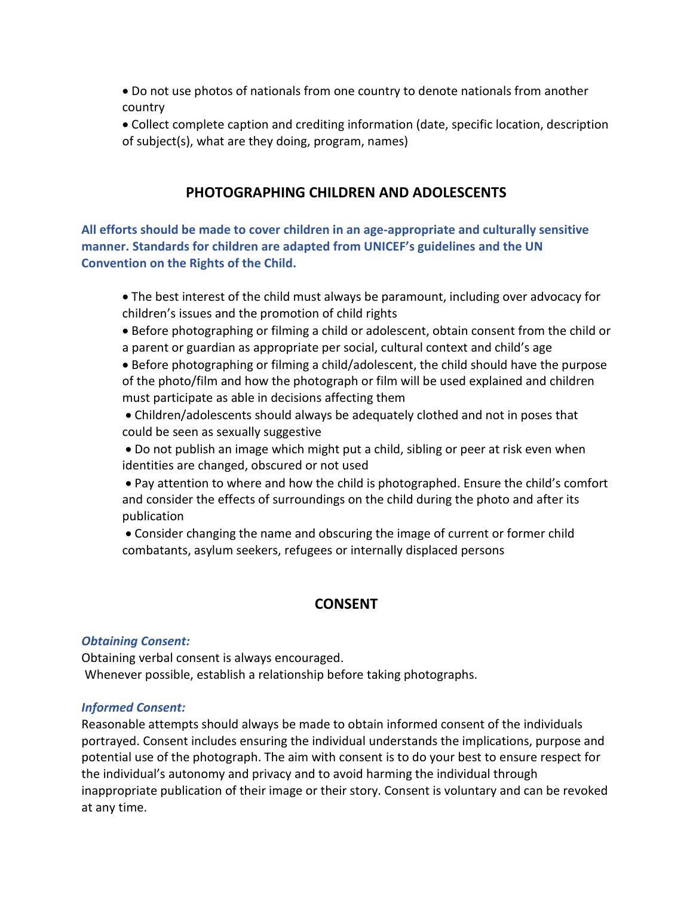- Do not use photos of nationals from one country to denote nationals from another country
- Collect complete caption and crediting information (date, specific location, description of subject(s), what are they doing, program, names)

### **PHOTOGRAPHING CHILDREN AND ADOLESCENTS**

**All efforts should be made to cover children in an age-appropriate and culturally sensitive manner. Standards for children are adapted from UNICEF's guidelines and the UN Convention on the Rights of the Child.** 

- The best interest of the child must always be paramount, including over advocacy for children's issues and the promotion of child rights
- Before photographing or filming a child or adolescent, obtain consent from the child or a parent or guardian as appropriate per social, cultural context and child's age

• Before photographing or filming a child/adolescent, the child should have the purpose of the photo/film and how the photograph or film will be used explained and children must participate as able in decisions affecting them

• Children/adolescents should always be adequately clothed and not in poses that could be seen as sexually suggestive

• Do not publish an image which might put a child, sibling or peer at risk even when identities are changed, obscured or not used

• Pay attention to where and how the child is photographed. Ensure the child's comfort and consider the effects of surroundings on the child during the photo and after its publication

• Consider changing the name and obscuring the image of current or former child combatants, asylum seekers, refugees or internally displaced persons

## **CONSENT**

#### *Obtaining Consent:*

Obtaining verbal consent is always encouraged. Whenever possible, establish a relationship before taking photographs.

#### *Informed Consent:*

Reasonable attempts should always be made to obtain informed consent of the individuals portrayed. Consent includes ensuring the individual understands the implications, purpose and potential use of the photograph. The aim with consent is to do your best to ensure respect for the individual's autonomy and privacy and to avoid harming the individual through inappropriate publication of their image or their story. Consent is voluntary and can be revoked at any time.